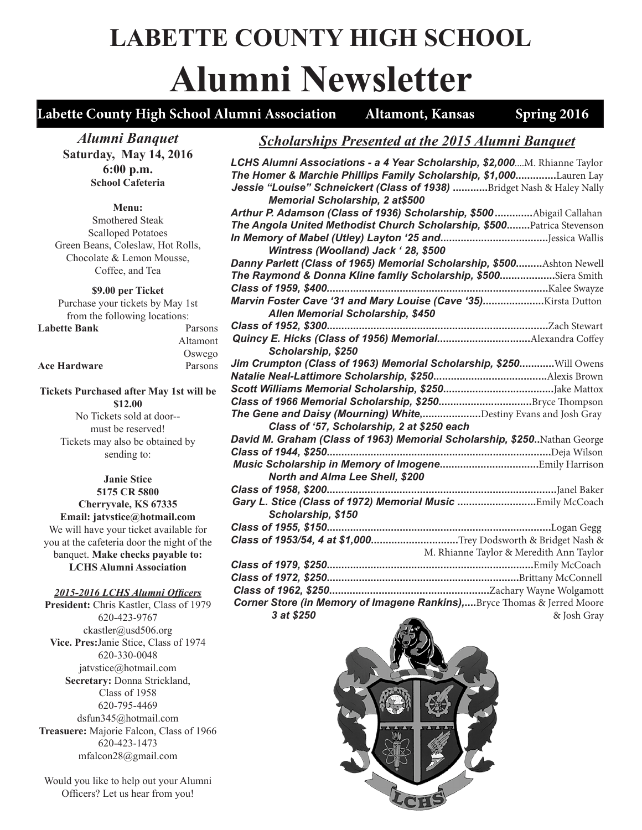# **LABETTE COUNTY HIGH SCHOOL Alumni Newsletter**

### Labette County High School Alumni Association Altamont, Kansas Spring 2016

*Alumni Banquet* **Saturday, May 14, 2016 6:00 p.m. School Cafeteria**

**Menu:**

Smothered Steak Scalloped Potatoes Green Beans, Coleslaw, Hot Rolls, Chocolate & Lemon Mousse, Coffee, and Tea

**\$9.00 per Ticket**

Purchase your tickets by May 1st from the following locations:

| <b>Labette Bank</b> | Parsons  |
|---------------------|----------|
|                     | Altamont |
|                     | Oswego   |

**Ace Hardware** Parsons

**Tickets Purchased after May 1st will be \$12.00**

No Tickets sold at door- must be reserved! Tickets may also be obtained by sending to:

**Janie Stice 5175 CR 5800 Cherryvale, KS 67335 Email: jatvstice@hotmail.com** We will have your ticket available for you at the cafeteria door the night of the banquet. **Make checks payable to: LCHS Alumni Association**

*2015-2016 LCHS Alumni Officers*

**President:** Chris Kastler, Class of 1979 620-423-9767 ckastler@usd506.org **Vice. Pres:**Janie Stice, Class of 1974 620-330-0048 jatvstice@hotmail.com **Secretary:** Donna Strickland, Class of 1958 620-795-4469 dsfun345@hotmail.com **Treasuere:** Majorie Falcon, Class of 1966 620-423-1473 mfalcon28@gmail.com

Would you like to help out your Alumni Officers? Let us hear from you!

### *Scholarships Presented at the 2015 Alumni Banquet*

| LCHS Alumni Associations - a 4 Year Scholarship, \$2,000M. Rhianne Taylor |
|---------------------------------------------------------------------------|
| The Homer & Marchie Phillips Family Scholarship, \$1,000Lauren Lay        |
| Jessie "Louise" Schneickert (Class of 1938) Bridget Nash & Haley Nally    |
| Memorial Scholarship, 2 at\$500                                           |
| Arthur P. Adamson (Class of 1936) Scholarship, \$500 Abigail Callahan     |
| The Angola United Methodist Church Scholarship, \$500 Patrica Stevenson   |
|                                                                           |
| Wintress (Woolland) Jack ' 28, \$500                                      |
| Danny Parlett (Class of 1965) Memorial Scholarship, \$500Ashton Newell    |
| The Raymond & Donna Kline famliy Scholarship, \$500Siera Smith            |
|                                                                           |
|                                                                           |
| Allen Memorial Scholarship, \$450                                         |
|                                                                           |
| Quincy E. Hicks (Class of 1956) MemorialAlexandra Coffey                  |
| Scholarship, \$250                                                        |
| Jim Crumpton (Class of 1963) Memorial Scholarship, \$250Will Owens        |
|                                                                           |
|                                                                           |
| Class of 1966 Memorial Scholarship, \$250Bryce Thompson                   |
| The Gene and Daisy (Mourning) White,Destiny Evans and Josh Gray           |
| Class of '57, Scholarship, 2 at \$250 each                                |
| David M. Graham (Class of 1963) Memorial Scholarship, \$250Nathan George  |
|                                                                           |
|                                                                           |
| North and Alma Lee Shell, \$200                                           |
| Class of 1958, \$200                                                      |
|                                                                           |
| Scholarship, \$150                                                        |
|                                                                           |
| Class of 1953/54, 4 at \$1,000Trey Dodsworth & Bridget Nash &             |
| M. Rhianne Taylor & Meredith Ann Taylor                                   |
|                                                                           |
|                                                                           |
|                                                                           |
| Corner Store (in Memory of Imagene Rankins), Bryce Thomas & Jerred Moore  |
|                                                                           |

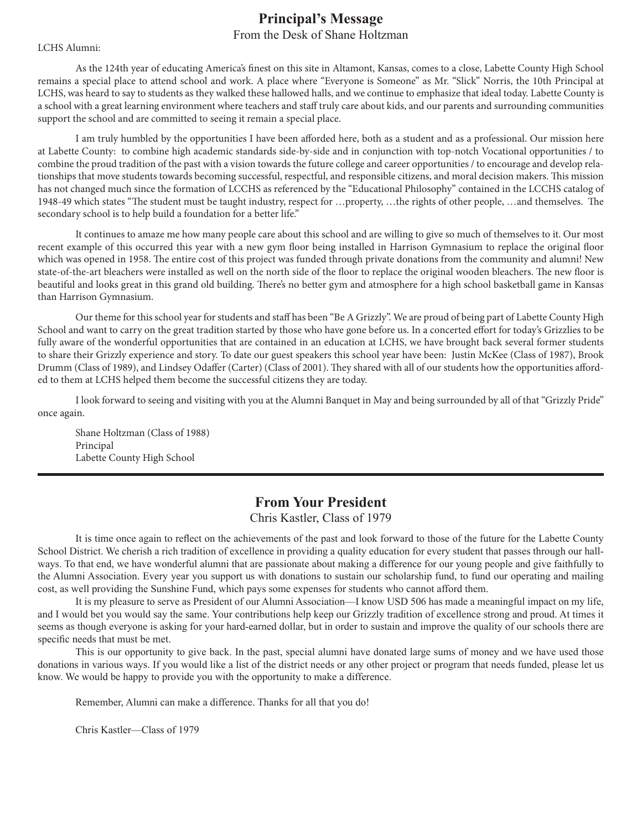## **Principal's Message**

### From the Desk of Shane Holtzman

#### LCHS Alumni:

As the 124th year of educating America's finest on this site in Altamont, Kansas, comes to a close, Labette County High School remains a special place to attend school and work. A place where "Everyone is Someone" as Mr. "Slick" Norris, the 10th Principal at LCHS, was heard to say to students as they walked these hallowed halls, and we continue to emphasize that ideal today. Labette County is a school with a great learning environment where teachers and staff truly care about kids, and our parents and surrounding communities support the school and are committed to seeing it remain a special place.

I am truly humbled by the opportunities I have been afforded here, both as a student and as a professional. Our mission here at Labette County: to combine high academic standards side-by-side and in conjunction with top-notch Vocational opportunities / to combine the proud tradition of the past with a vision towards the future college and career opportunities / to encourage and develop relationships that move students towards becoming successful, respectful, and responsible citizens, and moral decision makers. This mission has not changed much since the formation of LCCHS as referenced by the "Educational Philosophy" contained in the LCCHS catalog of 1948-49 which states "The student must be taught industry, respect for …property, …the rights of other people, …and themselves. The secondary school is to help build a foundation for a better life."

It continues to amaze me how many people care about this school and are willing to give so much of themselves to it. Our most recent example of this occurred this year with a new gym floor being installed in Harrison Gymnasium to replace the original floor which was opened in 1958. The entire cost of this project was funded through private donations from the community and alumni! New state-of-the-art bleachers were installed as well on the north side of the floor to replace the original wooden bleachers. The new floor is beautiful and looks great in this grand old building. There's no better gym and atmosphere for a high school basketball game in Kansas than Harrison Gymnasium.

Our theme for this school year for students and staff has been "Be A Grizzly". We are proud of being part of Labette County High School and want to carry on the great tradition started by those who have gone before us. In a concerted effort for today's Grizzlies to be fully aware of the wonderful opportunities that are contained in an education at LCHS, we have brought back several former students to share their Grizzly experience and story. To date our guest speakers this school year have been: Justin McKee (Class of 1987), Brook Drumm (Class of 1989), and Lindsey Odaffer (Carter) (Class of 2001). They shared with all of our students how the opportunities afforded to them at LCHS helped them become the successful citizens they are today.

I look forward to seeing and visiting with you at the Alumni Banquet in May and being surrounded by all of that "Grizzly Pride" once again.

Shane Holtzman (Class of 1988) Principal Labette County High School

### **From Your President**

Chris Kastler, Class of 1979

It is time once again to reflect on the achievements of the past and look forward to those of the future for the Labette County School District. We cherish a rich tradition of excellence in providing a quality education for every student that passes through our hallways. To that end, we have wonderful alumni that are passionate about making a difference for our young people and give faithfully to the Alumni Association. Every year you support us with donations to sustain our scholarship fund, to fund our operating and mailing cost, as well providing the Sunshine Fund, which pays some expenses for students who cannot afford them.

It is my pleasure to serve as President of our Alumni Association—I know USD 506 has made a meaningful impact on my life, and I would bet you would say the same. Your contributions help keep our Grizzly tradition of excellence strong and proud. At times it seems as though everyone is asking for your hard-earned dollar, but in order to sustain and improve the quality of our schools there are specific needs that must be met.

This is our opportunity to give back. In the past, special alumni have donated large sums of money and we have used those donations in various ways. If you would like a list of the district needs or any other project or program that needs funded, please let us know. We would be happy to provide you with the opportunity to make a difference.

Remember, Alumni can make a difference. Thanks for all that you do!

Chris Kastler—Class of 1979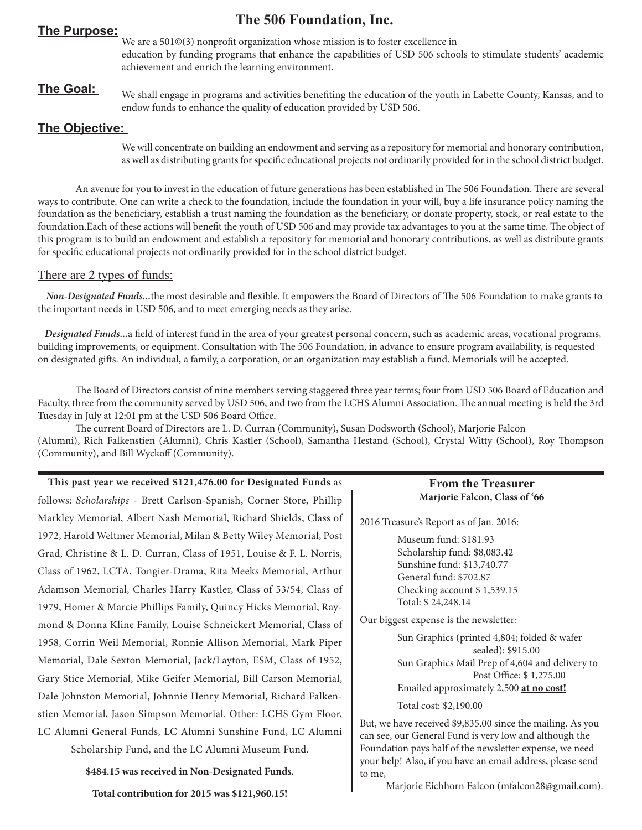## **The 506 Foundation, Inc. The Purpose:**

We are a 501©(3) nonprofit organization whose mission is to foster excellence in education by funding programs that enhance the capabilities of USD 506 schools to stimulate students' academic achievement and enrich the learning environment.

**The Goal:** We shall engage in programs and activities benefiting the education of the youth in Labette County, Kansas, and to endow funds to enhance the quality of education provided by USD 506.

### **The Objective:**

We will concentrate on building an endowment and serving as a repository for memorial and honorary contribution, as well as distributing grants for specific educational projects not ordinarily provided for in the school district budget.

An avenue for you to invest in the education of future generations has been established in The 506 Foundation. There are several ways to contribute. One can write a check to the foundation, include the foundation in your will, buy a life insurance policy naming the foundation as the beneficiary, establish a trust naming the foundation as the beneficiary, or donate property, stock, or real estate to the foundation.Each of these actions will benefit the youth of USD 506 and may provide tax advantages to you at the same time. The object of this program is to build an endowment and establish a repository for memorial and honorary contributions, as well as distribute grants for specific educational projects not ordinarily provided for in the school district budget.

### There are 2 types of funds:

 *Non-Designated Funds...*the most desirable and flexible. It empowers the Board of Directors of The 506 Foundation to make grants to the important needs in USD 506, and to meet emerging needs as they arise.

 *Designated Funds...*a field of interest fund in the area of your greatest personal concern, such as academic areas, vocational programs, building improvements, or equipment. Consultation with The 506 Foundation, in advance to ensure program availability, is requested on designated gifts. An individual, a family, a corporation, or an organization may establish a fund. Memorials will be accepted.

 The Board of Directors consist of nine members serving staggered three year terms; four from USD 506 Board of Education and Faculty, three from the community served by USD 506, and two from the LCHS Alumni Association. The annual meeting is held the 3rd Tuesday in July at 12:01 pm at the USD 506 Board Office.

 The current Board of Directors are L. D. Curran (Community), Susan Dodsworth (School), Marjorie Falcon (Alumni), Rich Falkenstien (Alumni), Chris Kastler (School), Samantha Hestand (School), Crystal Witty (School), Roy Thompson (Community), and Bill Wyckoff (Community).

### **This past year we received \$121,476.00 for Designated Funds** as

follows: *Scholarships* - Brett Carlson-Spanish, Corner Store, Phillip Markley Memorial, Albert Nash Memorial, Richard Shields, Class of 1972, Harold Weltmer Memorial, Milan & Betty Wiley Memorial, Post Grad, Christine & L. D. Curran, Class of 1951, Louise & F. L. Norris, Class of 1962, LCTA, Tongier-Drama, Rita Meeks Memorial, Arthur Adamson Memorial, Charles Harry Kastler, Class of 53/54, Class of 1979, Homer & Marcie Phillips Family, Quincy Hicks Memorial, Raymond & Donna Kline Family, Louise Schneickert Memorial, Class of 1958, Corrin Weil Memorial, Ronnie Allison Memorial, Mark Piper Memorial, Dale Sexton Memorial, Jack/Layton, ESM, Class of 1952, Gary Stice Memorial, Mike Geifer Memorial, Bill Carson Memorial, Dale Johnston Memorial, Johnnie Henry Memorial, Richard Falkenstien Memorial, Jason Simpson Memorial. Other: LCHS Gym Floor, LC Alumni General Funds, LC Alumni Sunshine Fund, LC Alumni

Scholarship Fund, and the LC Alumni Museum Fund.

**\$484.15 was received in Non-Designated Funds.** 

### **Total contribution for 2015 was \$121,960.15!**

### **From the Treasurer Marjorie Falcon, Class of '66**

2016 Treasure's Report as of Jan. 2016:

Museum fund: \$181.93 Scholarship fund: \$8,083.42 Sunshine fund: \$13,740.77 General fund: \$702.87 Checking account \$ 1,539.15 Total: \$ 24,248.14

Our biggest expense is the newsletter:

Sun Graphics (printed 4,804; folded & wafer sealed): \$915.00 Sun Graphics Mail Prep of 4,604 and delivery to Post Office: \$ 1,275.00 Emailed approximately 2,500 **at no cost!** Total cost: \$2,190.00

But, we have received \$9,835.00 since the mailing. As you can see, our General Fund is very low and although the Foundation pays half of the newsletter expense, we need your help! Also, if you have an email address, please send to me,

Marjorie Eichhorn Falcon (mfalcon28@gmail.com).